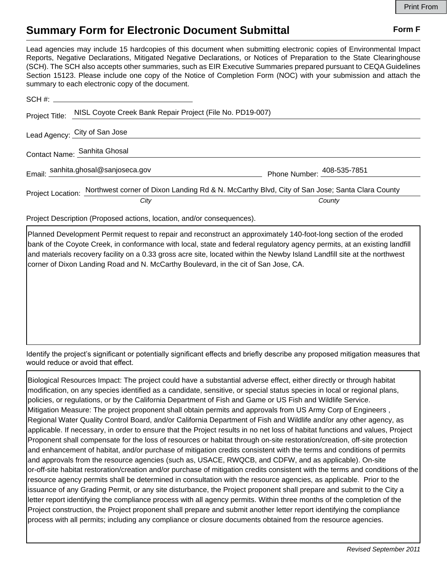## **Summary Form for Electronic Document Submittal Form F Form F**

Lead agencies may include 15 hardcopies of this document when submitting electronic copies of Environmental Impact Reports, Negative Declarations, Mitigated Negative Declarations, or Notices of Preparation to the State Clearinghouse (SCH). The SCH also accepts other summaries, such as EIR Executive Summaries prepared pursuant to CEQA Guidelines Section 15123. Please include one copy of the Notice of Completion Form (NOC) with your submission and attach the summary to each electronic copy of the document.

|                              | Project Title: NISL Coyote Creek Bank Repair Project (File No. PD19-007)                                        |                            |
|------------------------------|-----------------------------------------------------------------------------------------------------------------|----------------------------|
|                              | Lead Agency: City of San Jose                                                                                   |                            |
| Contact Name: Sanhita Ghosal |                                                                                                                 |                            |
|                              | Email: sanhita.ghosal@sanjoseca.gov                                                                             | Phone Number: 408-535-7851 |
|                              | Project Location: Northwest corner of Dixon Landing Rd & N. McCarthy Blvd, City of San Jose; Santa Clara County |                            |
|                              | City                                                                                                            | County                     |

Project Description (Proposed actions, location, and/or consequences).

Planned Development Permit request to repair and reconstruct an approximately 140-foot-long section of the eroded bank of the Coyote Creek, in conformance with local, state and federal regulatory agency permits, at an existing landfill and materials recovery facility on a 0.33 gross acre site, located within the Newby Island Landfill site at the northwest corner of Dixon Landing Road and N. McCarthy Boulevard, in the cit of San Jose, CA.

Identify the project's significant or potentially significant effects and briefly describe any proposed mitigation measures that would reduce or avoid that effect.

Biological Resources Impact: The project could have a substantial adverse effect, either directly or through habitat modification, on any species identified as a candidate, sensitive, or special status species in local or regional plans, policies, or regulations, or by the California Department of Fish and Game or US Fish and Wildlife Service. Mitigation Measure: The project proponent shall obtain permits and approvals from US Army Corp of Engineers , Regional Water Quality Control Board, and/or California Department of Fish and Wildlife and/or any other agency, as applicable. If necessary, in order to ensure that the Project results in no net loss of habitat functions and values, Project Proponent shall compensate for the loss of resources or habitat through on‐site restoration/creation, off‐site protection and enhancement of habitat, and/or purchase of mitigation credits consistent with the terms and conditions of permits and approvals from the resource agencies (such as, USACE, RWQCB, and CDFW, and as applicable). On-site or-off-site habitat restoration/creation and/or purchase of mitigation credits consistent with the terms and conditions of the resource agency permits shall be determined in consultation with the resource agencies, as applicable. Prior to the issuance of any Grading Permit, or any site disturbance, the Project proponent shall prepare and submit to the City a letter report identifying the compliance process with all agency permits. Within three months of the completion of the Project construction, the Project proponent shall prepare and submit another letter report identifying the compliance process with all permits; including any compliance or closure documents obtained from the resource agencies.